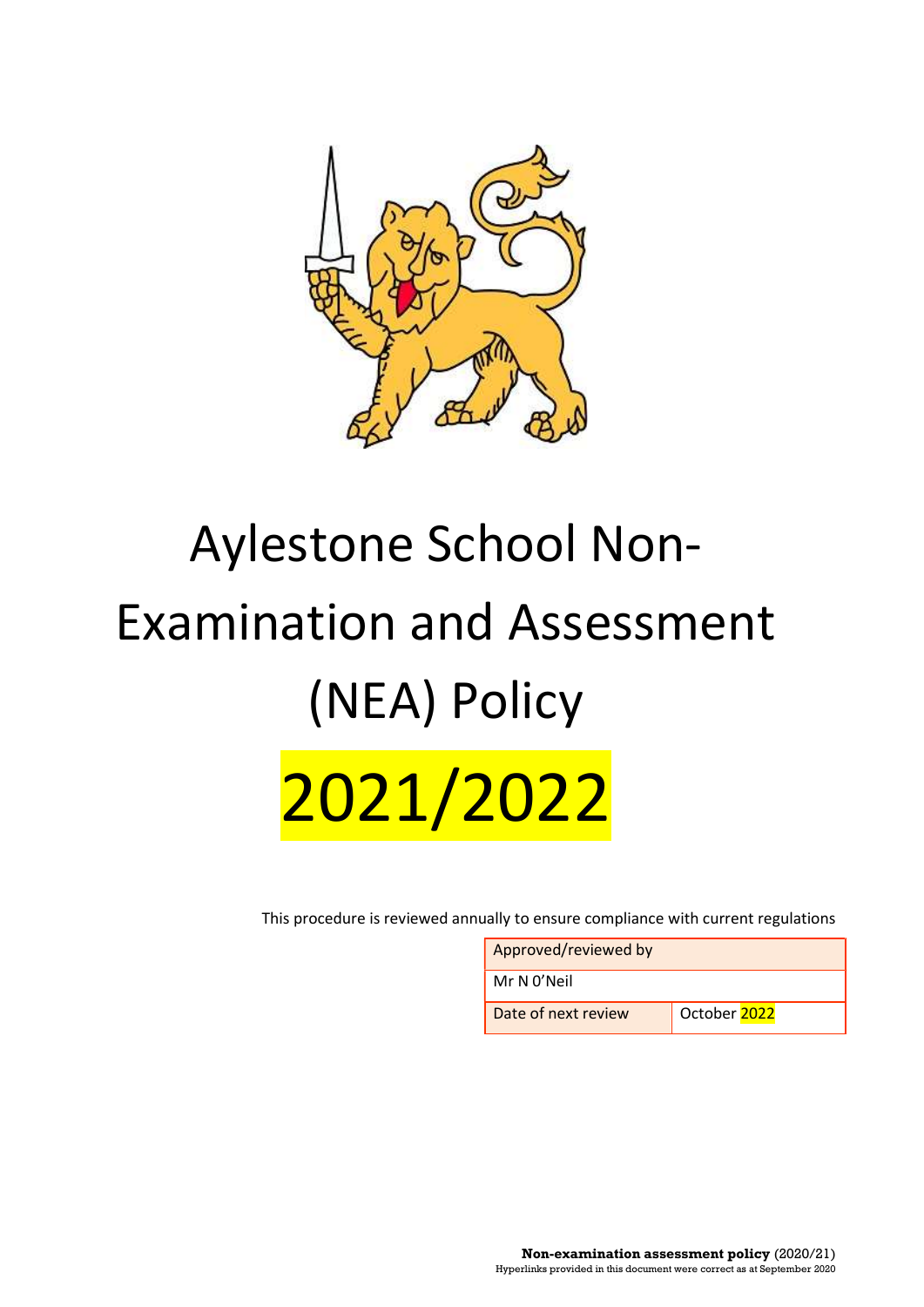

# Aylestone School Non-Examination and Assessment (NEA) Policy 2021/2022

This procedure is reviewed annually to ensure compliance with current regulations

Approved/reviewed by

Mr N 0'Neil

Date of next review Cctober 2022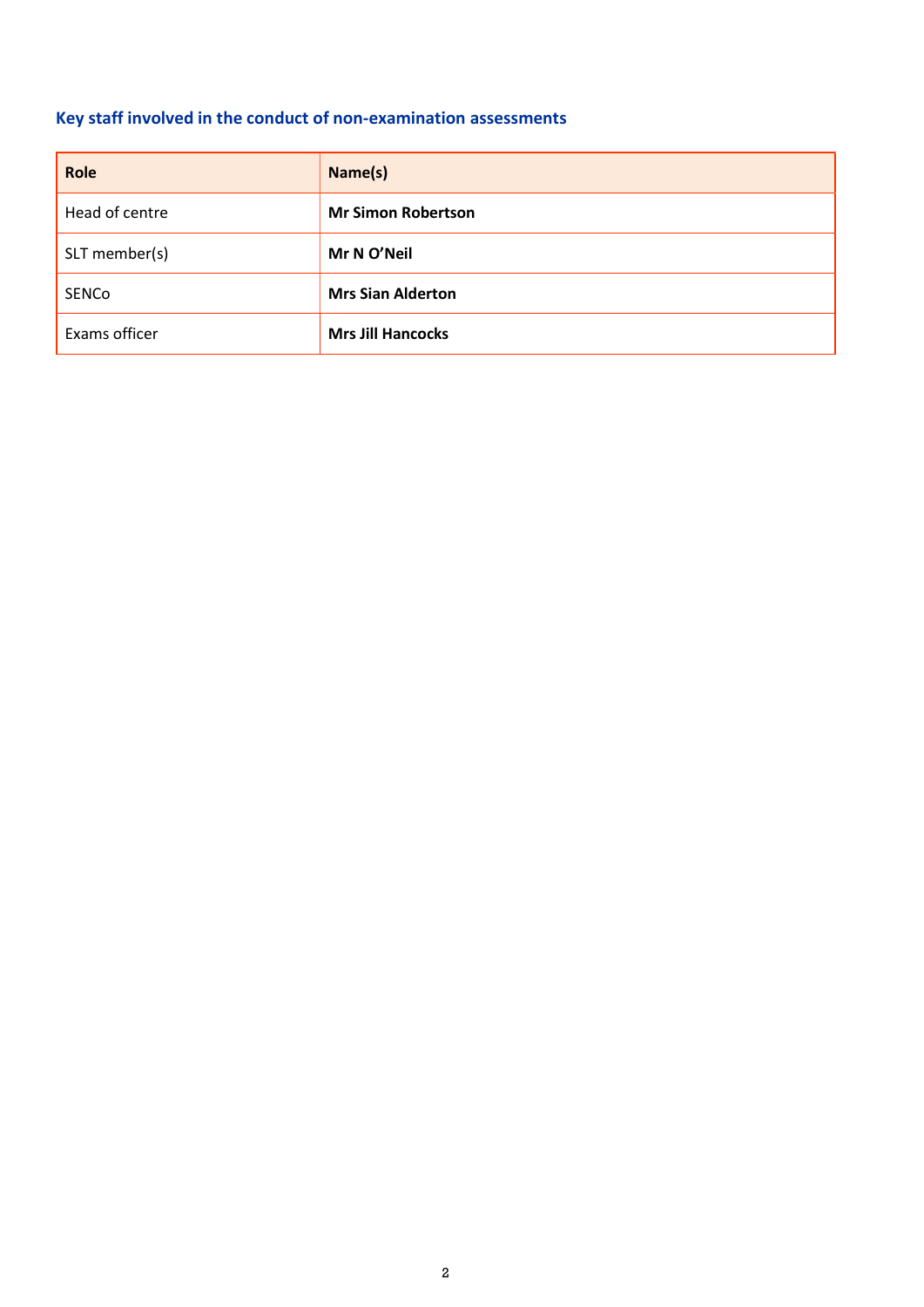## Key staff involved in the conduct of non-examination assessments

| Role           | Name(s)                   |
|----------------|---------------------------|
| Head of centre | <b>Mr Simon Robertson</b> |
| SLT member(s)  | Mr N O'Neil               |
| SENCo          | <b>Mrs Sian Alderton</b>  |
| Exams officer  | <b>Mrs Jill Hancocks</b>  |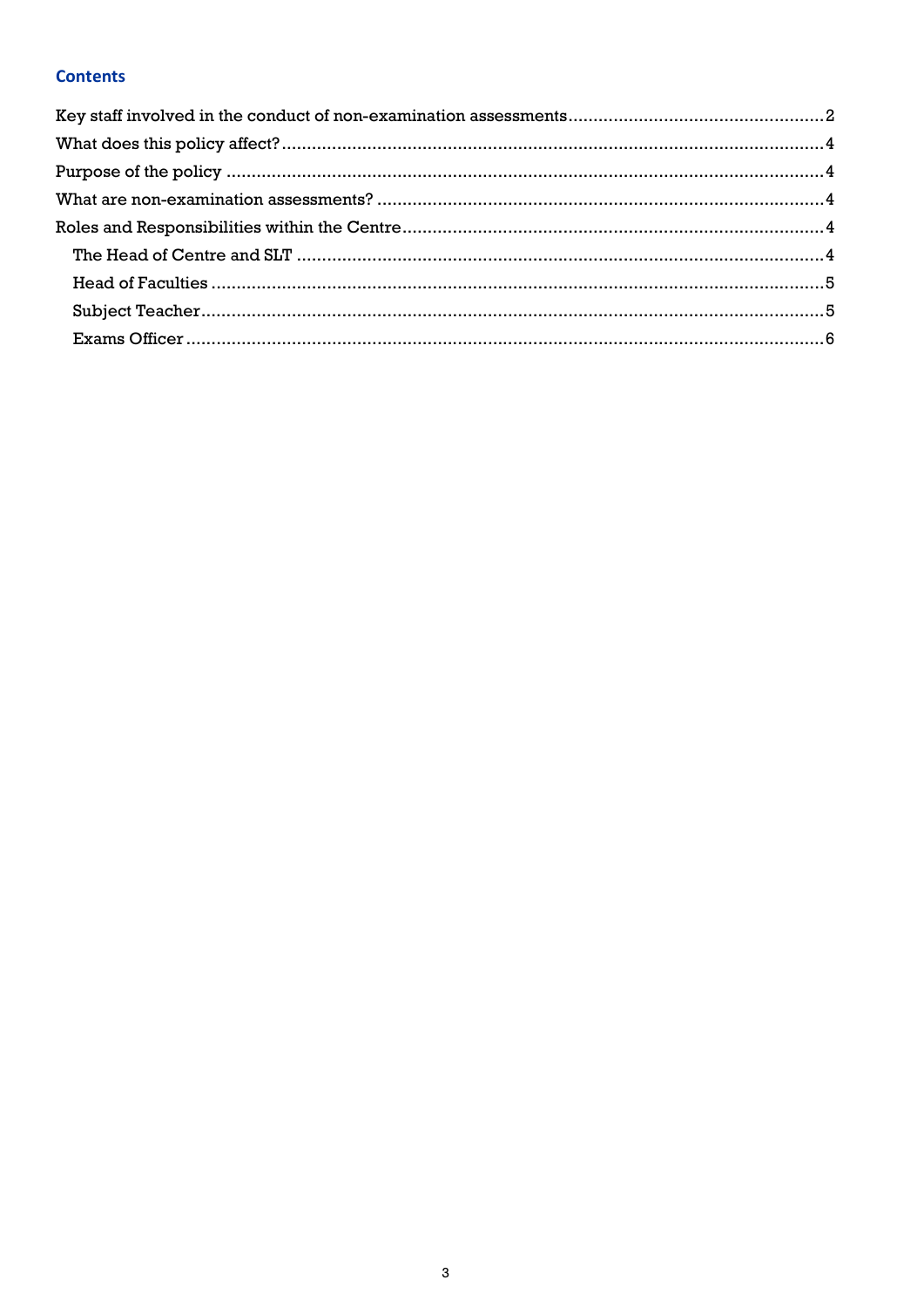## **Contents**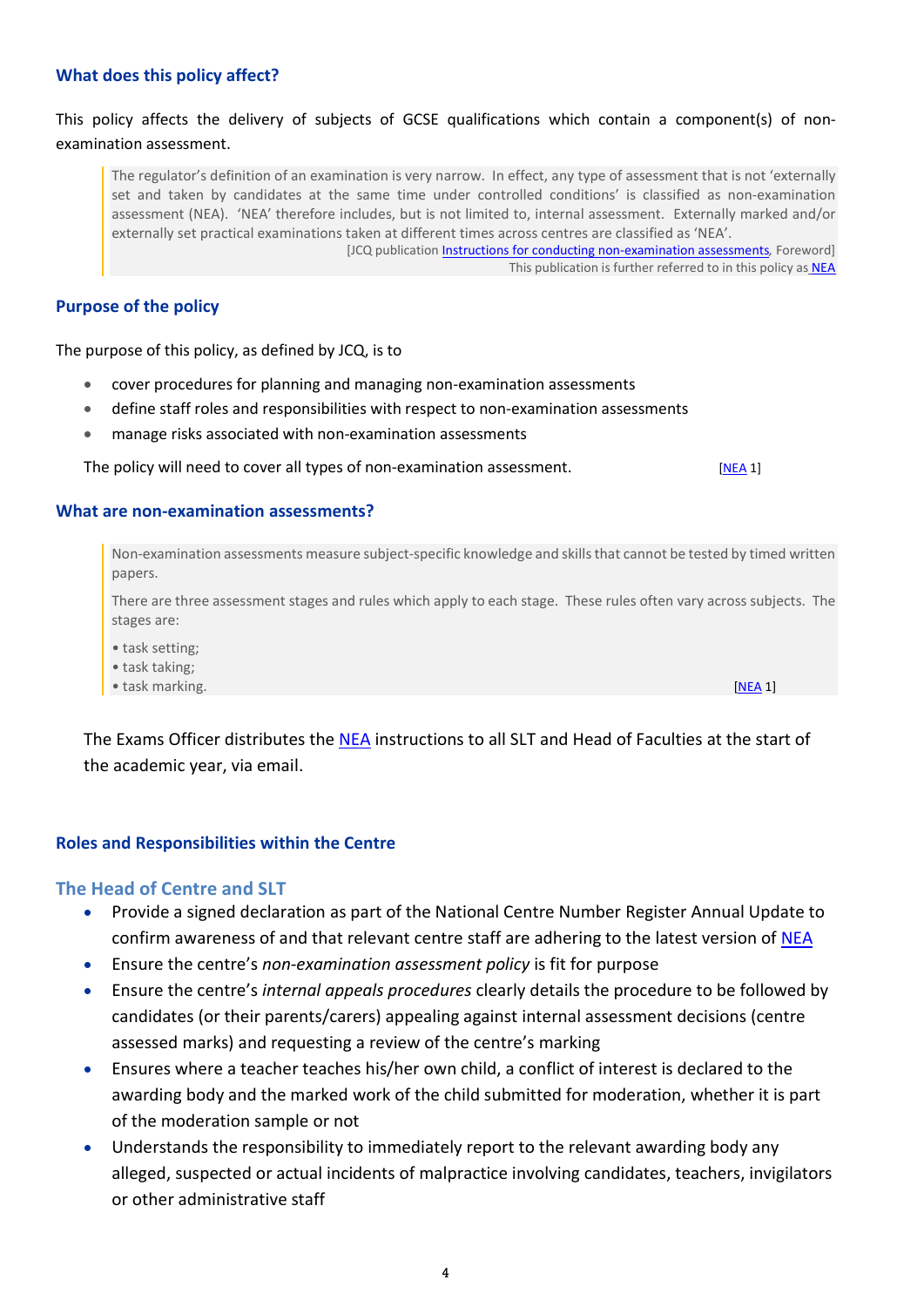#### What does this policy affect?

### This policy affects the delivery of subjects of GCSE qualifications which contain a component(s) of nonexamination assessment.

The regulator's definition of an examination is very narrow. In effect, any type of assessment that is not 'externally set and taken by candidates at the same time under controlled conditions' is classified as non-examination assessment (NEA). 'NEA' therefore includes, but is not limited to, internal assessment. Externally marked and/or externally set practical examinations taken at different times across centres are classified as 'NEA'. [JCQ publication *Instructions for conducting non-examination assessments*, Foreword] This publication is further referred to in this policy as **NEA** 

#### Purpose of the policy

The purpose of this policy, as defined by JCQ, is to

- cover procedures for planning and managing non-examination assessments
- define staff roles and responsibilities with respect to non-examination assessments
- manage risks associated with non-examination assessments

The policy will need to cover all types of non-examination assessment. [NEA 1]

#### What are non-examination assessments?

Non-examination assessments measure subject-specific knowledge and skills that cannot be tested by timed written papers.

There are three assessment stages and rules which apply to each stage. These rules often vary across subjects. The stages are:

- task setting;
- task taking;
- task marking. [NEA 1] **[NEA 1]**

The Exams Officer distributes the NEA instructions to all SLT and Head of Faculties at the start of the academic year, via email.

#### Roles and Responsibilities within the Centre

#### The Head of Centre and SLT

- Provide a signed declaration as part of the National Centre Number Register Annual Update to confirm awareness of and that relevant centre staff are adhering to the latest version of NEA
- **Ensure the centre's non-examination assessment policy is fit for purpose**
- Ensure the centre's internal appeals procedures clearly details the procedure to be followed by candidates (or their parents/carers) appealing against internal assessment decisions (centre assessed marks) and requesting a review of the centre's marking
- Ensures where a teacher teaches his/her own child, a conflict of interest is declared to the awarding body and the marked work of the child submitted for moderation, whether it is part of the moderation sample or not
- Understands the responsibility to immediately report to the relevant awarding body any alleged, suspected or actual incidents of malpractice involving candidates, teachers, invigilators or other administrative staff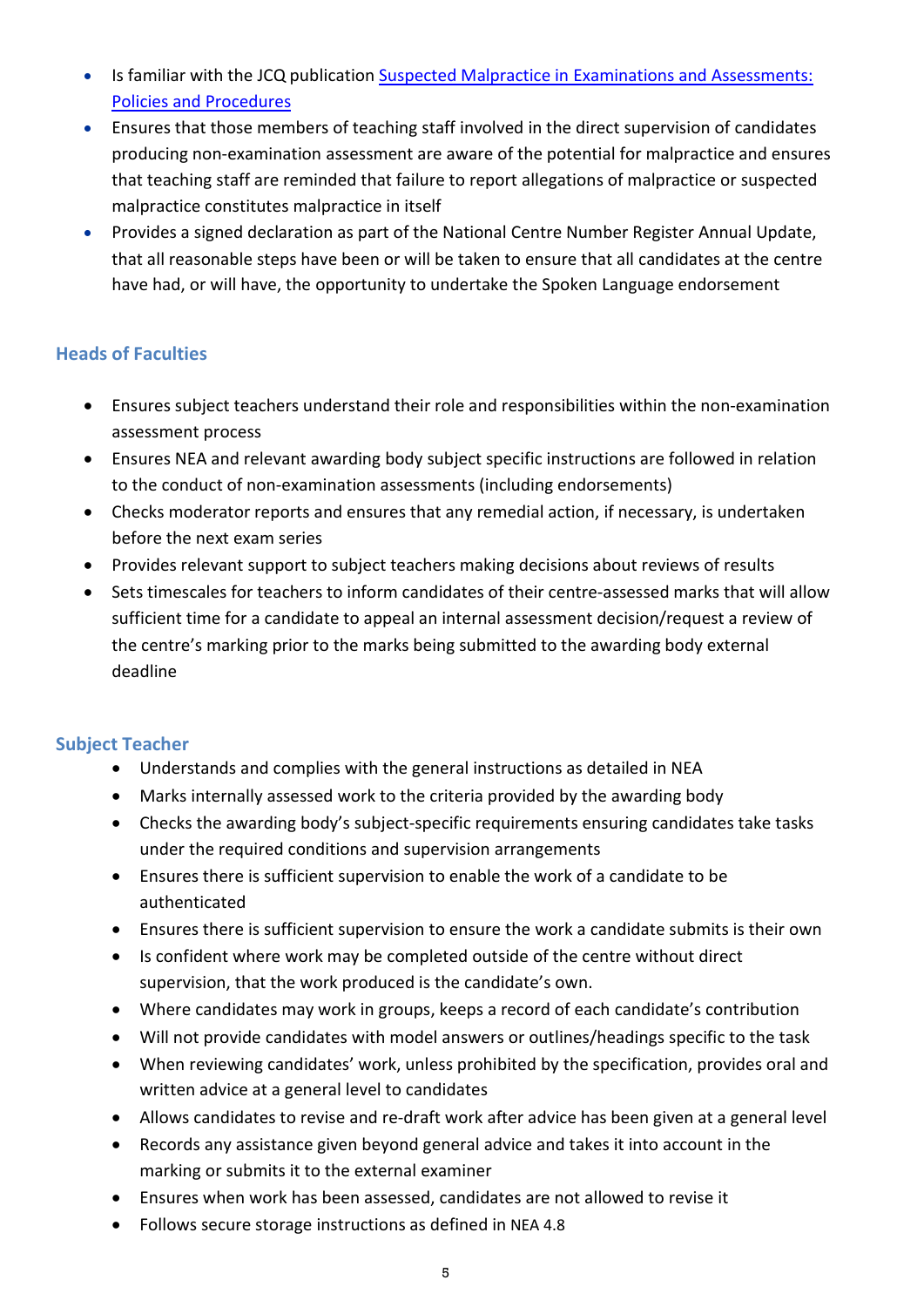- Is familiar with the JCQ publication Suspected Malpractice in Examinations and Assessments: Policies and Procedures
- Ensures that those members of teaching staff involved in the direct supervision of candidates producing non-examination assessment are aware of the potential for malpractice and ensures that teaching staff are reminded that failure to report allegations of malpractice or suspected malpractice constitutes malpractice in itself
- Provides a signed declaration as part of the National Centre Number Register Annual Update, that all reasonable steps have been or will be taken to ensure that all candidates at the centre have had, or will have, the opportunity to undertake the Spoken Language endorsement

## Heads of Faculties

- Ensures subject teachers understand their role and responsibilities within the non-examination assessment process
- Ensures NEA and relevant awarding body subject specific instructions are followed in relation to the conduct of non-examination assessments (including endorsements)
- Checks moderator reports and ensures that any remedial action, if necessary, is undertaken before the next exam series
- Provides relevant support to subject teachers making decisions about reviews of results
- Sets timescales for teachers to inform candidates of their centre-assessed marks that will allow sufficient time for a candidate to appeal an internal assessment decision/request a review of the centre's marking prior to the marks being submitted to the awarding body external deadline

## Subject Teacher

- Understands and complies with the general instructions as detailed in NEA
- Marks internally assessed work to the criteria provided by the awarding body
- Checks the awarding body's subject-specific requirements ensuring candidates take tasks under the required conditions and supervision arrangements
- Ensures there is sufficient supervision to enable the work of a candidate to be authenticated
- Ensures there is sufficient supervision to ensure the work a candidate submits is their own
- Is confident where work may be completed outside of the centre without direct supervision, that the work produced is the candidate's own.
- Where candidates may work in groups, keeps a record of each candidate's contribution
- Will not provide candidates with model answers or outlines/headings specific to the task
- When reviewing candidates' work, unless prohibited by the specification, provides oral and written advice at a general level to candidates
- Allows candidates to revise and re-draft work after advice has been given at a general level
- Records any assistance given beyond general advice and takes it into account in the marking or submits it to the external examiner
- Ensures when work has been assessed, candidates are not allowed to revise it
- Follows secure storage instructions as defined in NEA 4.8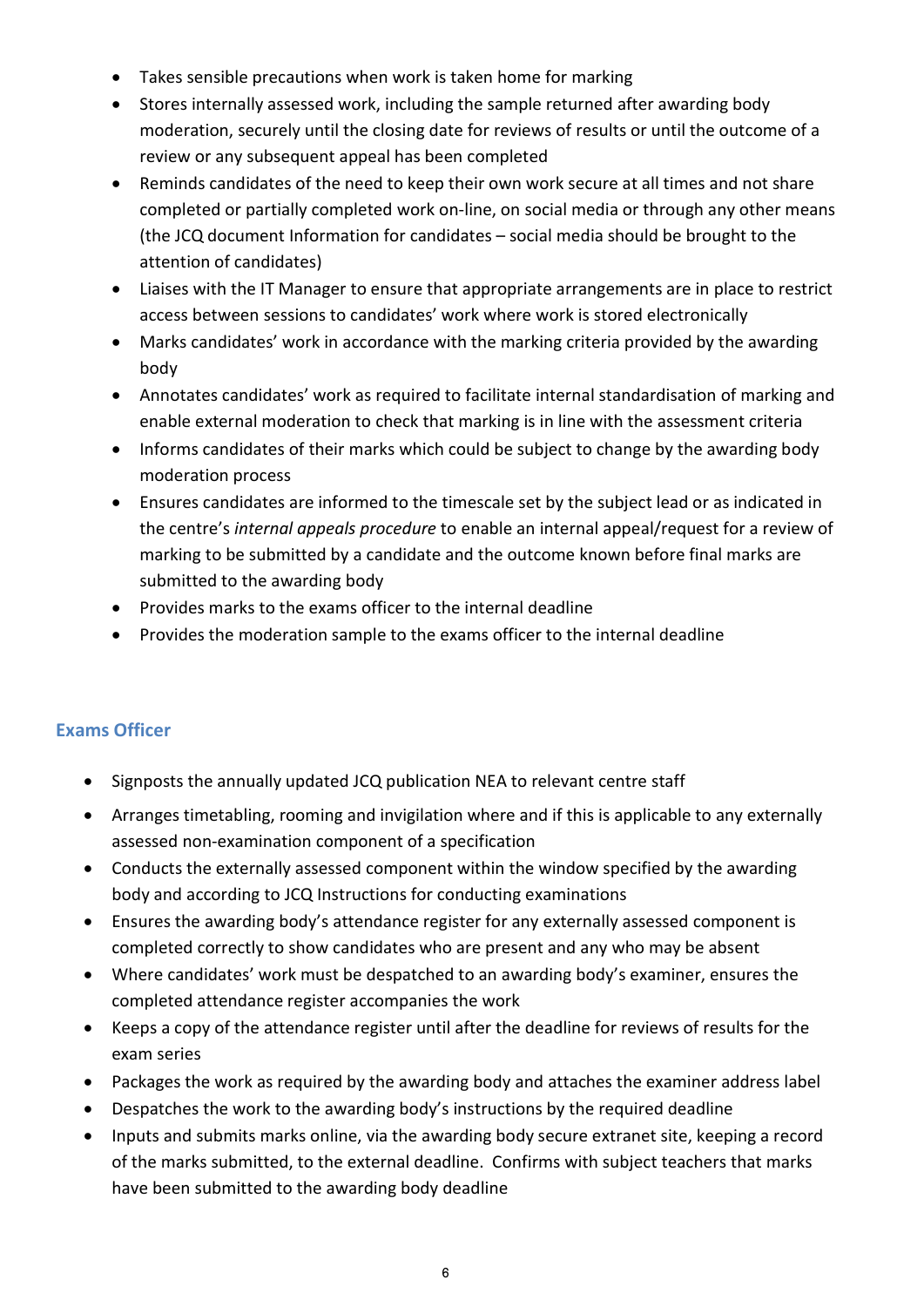- Takes sensible precautions when work is taken home for marking
- Stores internally assessed work, including the sample returned after awarding body moderation, securely until the closing date for reviews of results or until the outcome of a review or any subsequent appeal has been completed
- Reminds candidates of the need to keep their own work secure at all times and not share completed or partially completed work on-line, on social media or through any other means (the JCQ document Information for candidates – social media should be brought to the attention of candidates)
- Liaises with the IT Manager to ensure that appropriate arrangements are in place to restrict access between sessions to candidates' work where work is stored electronically
- Marks candidates' work in accordance with the marking criteria provided by the awarding body
- Annotates candidates' work as required to facilitate internal standardisation of marking and enable external moderation to check that marking is in line with the assessment criteria
- Informs candidates of their marks which could be subject to change by the awarding body moderation process
- Ensures candidates are informed to the timescale set by the subject lead or as indicated in the centre's internal appeals procedure to enable an internal appeal/request for a review of marking to be submitted by a candidate and the outcome known before final marks are submitted to the awarding body
- Provides marks to the exams officer to the internal deadline
- Provides the moderation sample to the exams officer to the internal deadline

## Exams Officer

- Signposts the annually updated JCQ publication NEA to relevant centre staff
- Arranges timetabling, rooming and invigilation where and if this is applicable to any externally assessed non-examination component of a specification
- Conducts the externally assessed component within the window specified by the awarding body and according to JCQ Instructions for conducting examinations
- Ensures the awarding body's attendance register for any externally assessed component is completed correctly to show candidates who are present and any who may be absent
- Where candidates' work must be despatched to an awarding body's examiner, ensures the completed attendance register accompanies the work
- Keeps a copy of the attendance register until after the deadline for reviews of results for the exam series
- Packages the work as required by the awarding body and attaches the examiner address label
- Despatches the work to the awarding body's instructions by the required deadline
- Inputs and submits marks online, via the awarding body secure extranet site, keeping a record of the marks submitted, to the external deadline. Confirms with subject teachers that marks have been submitted to the awarding body deadline